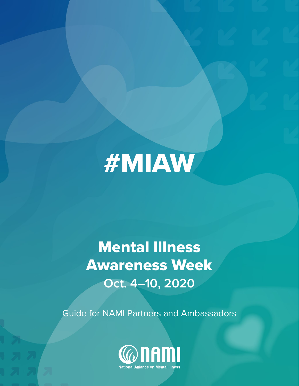# #MIAW

# Mental Illness Awareness Week **Oct. 4–10, 2020**

Guide for NAMI Partners and Ambassadors

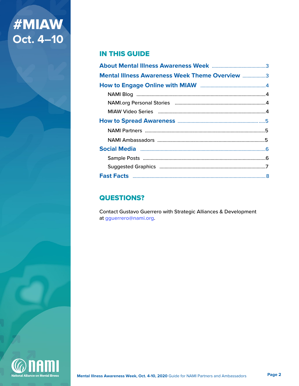# **#MIAW<br>Oct. 4–10**

#### **IN THIS GUIDE**

| <b>Mental Illness Awareness Week Theme Overview 3</b> |  |
|-------------------------------------------------------|--|
|                                                       |  |
|                                                       |  |
|                                                       |  |
|                                                       |  |
|                                                       |  |
|                                                       |  |
|                                                       |  |
|                                                       |  |
|                                                       |  |
|                                                       |  |
|                                                       |  |

### **QUESTIONS?**

**Contact Gustavo Guerrero with Strategic Alliances & Development** at gguerrero@nami.org.

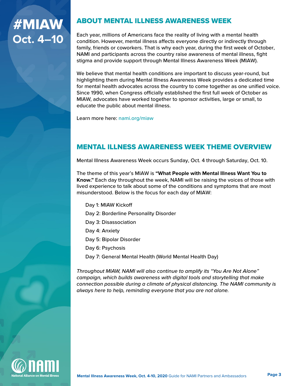### <span id="page-2-0"></span>ABOUT MENTAL ILLNESS AWARENESS WEEK

Each year, millions of Americans face the reality of living with a mental health condition. However, mental illness affects everyone directly or indirectly through family, friends or coworkers. That is why each year, during the first week of October, NAMI and participants across the country raise awareness of mental illness, fight stigma and provide support through Mental Illness Awareness Week (MIAW).

We believe that mental health conditions are important to discuss year-round, but highlighting them during Mental Illness Awareness Week provides a dedicated time for mental health advocates across the country to come together as one unified voice. Since 1990, when Congress officially established the first full week of October as MIAW, advocates have worked together to sponsor activities, large or small, to educate the public about mental illness.

Learn more here: [nami.org/m](https://www.nami.org/Get-Involved/Awareness-Events/Suicide-Prevention-Awareness-Month)iaw

### MENTAL ILLNESS AWARENESS WEEK THEME OVERVIEW

Mental Illness Awareness Week occurs Sunday, Oct. 4 through Saturday, Oct. 10.

The theme of this year's MIAW is **"What People with Mental Illness Want You to Know."** Each day throughout the week, NAMI will be raising the voices of those with lived experience to talk about some of the conditions and symptoms that are most misunderstood. Below is the focus for each day of MIAW:

- Day 1: MIAW Kickoff Day 2: Borderline Personality Disorder Day 3: Disassociation Day 4: Anxiety Day 5: Bipolar Disorder Day 6: Psychosis
- Day 7: General Mental Health (World Mental Health Day)

*Throughout MIAW, NAMI will also continue to amplify its "You Are Not Alone" campaign, which builds awareness with digital tools and storytelling that make connection possible during a climate of physical distancing. The NAMI community is always here to help, reminding everyone that you are not alone.*

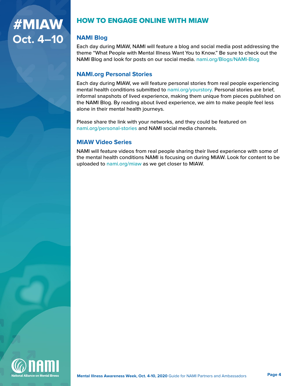### <span id="page-3-0"></span>HOW TO ENGAGE ONLINE WITH MIAW

#### **NAMI Blog**

Each day during MIAW, NAMI will feature a blog and social media post addressing the theme "What People with Mental Illness Want You to Know." Be sure to check out the NAMI Blog and look for posts on our social media. [nami.org/Blogs/NAMI-Blog](http://www.nami.org/Blogs/NAMI-Blog)

#### **NAMI.org Personal Stories**

Each day during MIAW, we will feature personal stories from real people experiencing mental health conditions submitted to [nami.org/yourstory.](https://www.nami.org/yourstory) Personal stories are brief, informal snapshots of lived experience, making them unique from pieces published on the NAMI Blog. By reading about lived experience, we aim to make people feel less alone in their mental health journeys.

Please share the link with your networks, and they could be featured on [nami.org/personal-stories](https://www.nami.org/personal-stories) and NAMI social media channels.

#### **MIAW Video Series**

NAMI will feature videos from real people sharing their lived experience with some of the mental health conditions NAMI is focusing on during MIAW. Look for content to be uploaded to [nami.org/miaw](https://www.nami.org/miaw) as we get closer to MIAW.

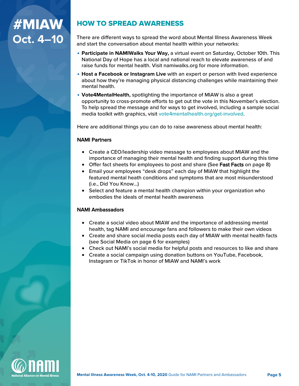### <span id="page-4-0"></span>HOW TO SPREAD AWARENESS

There are different ways to spread the word about Mental Illness Awareness Week and start the conversation about mental health within your networks:

- **• Participate in NAMIWalks Your Way,** a virtual event on Saturday, October 10th. This National Day of Hope has a local and national reach to elevate awareness of and raise funds for mental health. Visit namiwalks.org for more information.
- **• Host a Facebook or Instagram Live** with an expert or person with lived experience about how they're managing physical distancing challenges while maintaining their mental health.
- **• Vote4MentalHealth,** spotlighting the importance of MIAW is also a great opportunity to cross-promote efforts to get out the vote in this November's election. To help spread the message and for ways to get involved, including a sample social media toolkit with graphics, visit vote4mentalhealth.org/get-involved.

Here are additional things you can do to raise awareness about [mental health:](https://www.nami.org)

#### NAMI Partners

- Create a CEO/leadership video message to employees about MIAW and the importance of managing their mental health and finding support during this time
- Offer fact sheets for employees to post and share (See Fast Facts on page 8)
- Email your employees "desk drops" each day of MIAW that highlight the featured mental heath conditions and symptoms that are most misunderstood (i.e., Did You Know...)
- Select and feature a mental health champion within your organization who embodies the ideals of mental health awareness

#### NAMI Ambassadors

- Create a social video about MIAW and the importance of addressing mental health, tag NAMI and encourage fans and followers to make their own videos
- Create and share social media posts each day of MIAW with mental health facts (see Social Media on page 6 for examples)
- Check out NAMI's social media for helpful posts and resources to like and share
- Create a social campaign using donation buttons on YouTube, Facebook, Instagram or TikTok in honor of MIAW and NAMI's work

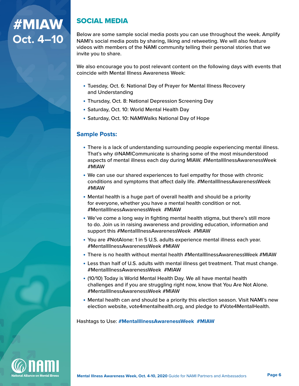### <span id="page-5-0"></span>SOCIAL MEDIA

Below are some sample social media posts you can use throughout the week. Amplify NAMI's social media posts by sharing, liking and retweeting. We will also feature videos with members of the NAMI community telling their personal stories that we invite you to share.

We also encourage you to post relevant content on the following days with events that coincide with Mental Illness Awareness Week:

- **•** Tuesday, Oct. 6: National Day of Prayer for Mental Illness Recovery and Understanding
- **•** Thursday, Oct. 8: National Depression Screening Day
- **•** Saturday, Oct. 10: World Mental Health Day
- **•** Saturday, Oct. 10: NAMIWalks National Day of Hope

#### **Sample Posts:**

- **•** There is a lack of understanding surrounding people experiencing mental illness. That's why @NAMICommunicate is sharing some of the most misunderstood aspects of mental illness each day during MIAW. #MentalIllnessAwarenessWeek #MIAW
- **•** We can use our shared experiences to fuel empathy for those with chronic conditions and symptoms that affect daily life. #MentalIllnessAwarenessWeek #MIAW
- **•** Mental health is a huge part of overall health and should be a priority for everyone, whether you have a mental health condition or not. #MentalIllnessAwarenessWeek #MIAW
- **•** We've come a long way in fighting mental health stigma, but there's still more to do. Join us in raising awareness and providing education, information and support this #MentalIllnessAwarenessWeek #MIAW
- **•** You are #NotAlone: 1 in 5 U.S. adults experience mental illness each year. #MentalIllnessAwarenessWeek #MIAW
- **•** There is no health without mental health #MentalIllnessAwarenessWeek #MIAW
- **•** Less than half of U.S. adults with mental illness get treatment. That must change. #MentalIllnessAwarenessWeek #MIAW
- **•** (10/10) Today is World Mental Health Day. We all have mental health challenges and if you are struggling right now, know that You Are Not Alone. #MentalIllnessAwarenessWeek #MIAW
- **•** Mental health can and should be a priority this election season. Visit NAMI's new election website, vote4mentalhealth.org, and pledge to #Vote4MentalHealth.

Hashtags to Use: **#MentalIllnessAwarenessWeek #MIAW**

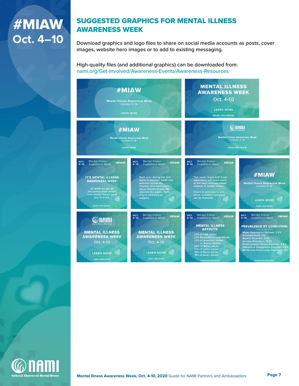### <span id="page-6-0"></span>SUGGESTED GRAPHICS FOR MENTAL ILLNESS AWARENESS WEEK

Download graphics and logo files to share on social media accounts as posts, cover images, website hero images or to add to existing messaging.

High-quality files (and additional graphics) can be downloaded from: [nami.org/Get-Involved/Awareness-Events/Awareness-Resources](https://www.nami.org/Get-Involved/Awareness-Events/Awareness-Resources)